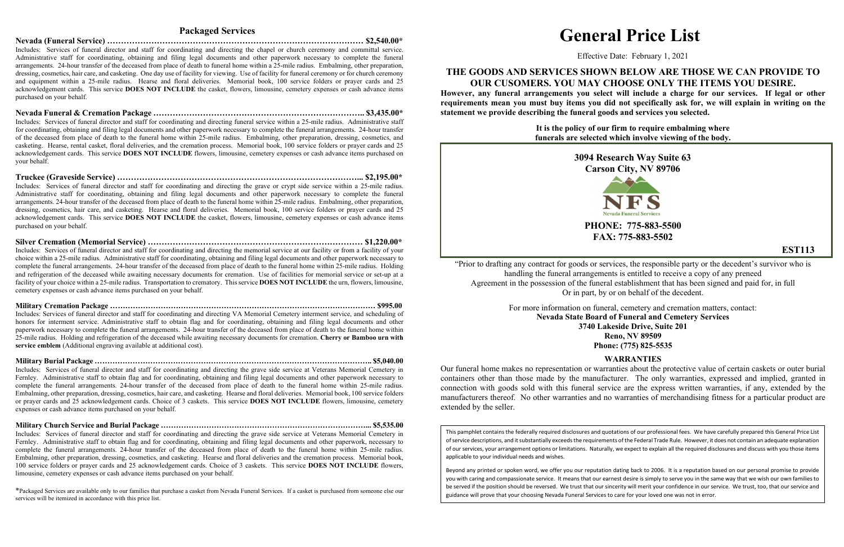## **Packaged Services**

**Nevada (Funeral Service) ………………………………………………………………………………… \$2,540.00\***  Includes: Services of funeral director and staff for coordinating and directing the chapel or church ceremony and committal service. Administrative staff for coordinating, obtaining and filing legal documents and other paperwork necessary to complete the funeral arrangements. 24-hour transfer of the deceased from place of death to funeral home within a 25-mile radius. Embalming, other preparation, dressing, cosmetics, hair care, and casketing. One day use of facility for viewing. Use of facility for funeral ceremony or for church ceremony and equipment within a 25-mile radius. Hearse and floral deliveries. Memorial book, 100 service folders or prayer cards and 25 acknowledgement cards. This service **DOES NOT INCLUDE** the casket, flowers, limousine, cemetery expenses or cash advance items purchased on your behalf.

**Nevada Funeral & Cremation Package ………………………………………………………………….. \$3,435.00\***  Includes: Services of funeral director and staff for coordinating and directing funeral service within a 25-mile radius. Administrative staff for coordinating, obtaining and filing legal documents and other paperwork necessary to complete the funeral arrangements. 24-hour transfer of the deceased from place of death to the funeral home within 25-mile radius. Embalming, other preparation, dressing, cosmetics, and casketing. Hearse, rental casket, floral deliveries, and the cremation process. Memorial book, 100 service folders or prayer cards and 25 acknowledgement cards. This service **DOES NOT INCLUDE** flowers, limousine, cemetery expenses or cash advance items purchased on your behalf.

**Truckee (Graveside Service) ……………………………………………………………………………... \$2,195.00\***  Includes: Services of funeral director and staff for coordinating and directing the grave or crypt side service within a 25-mile radius. Administrative staff for coordinating, obtaining and filing legal documents and other paperwork necessary to complete the funeral arrangements. 24-hour transfer of the deceased from place of death to the funeral home within 25-mile radius. Embalming, other preparation, dressing, cosmetics, hair care, and casketing. Hearse and floral deliveries. Memorial book, 100 service folders or prayer cards and 25 acknowledgement cards. This service **DOES NOT INCLUDE** the casket, flowers, limousine, cemetery expenses or cash advance items purchased on your behalf.

**Silver Cremation (Memorial Service) …………………………………………………………………… \$1,220.00\***  Includes: Services of funeral director and staff for coordinating and directing the memorial service at our facility or from a facility of your choice within a 25-mile radius. Administrative staff for coordinating, obtaining and filing legal documents and other paperwork necessary to complete the funeral arrangements. 24-hour transfer of the deceased from place of death to the funeral home within 25-mile radius. Holding and refrigeration of the deceased while awaiting necessary documents for cremation. Use of facilities for memorial service or set-up at a facility of your choice within a 25-mile radius. Transportation to crematory. This service **DOES NOT INCLUDE** the urn, flowers, limousine, cemetery expenses or cash advance items purchased on your behalf.

**Military Cremation Package …………………………………………………………………………………………… \$995.00**  Includes: Services of funeral director and staff for coordinating and directing VA Memorial Cemetery interment service, and scheduling of honors for interment service. Administrative staff to obtain flag and for coordinating, obtaining and filing legal documents and other paperwork necessary to complete the funeral arrangements. 24-hour transfer of the deceased from place of death to the funeral home within 25-mile radius. Holding and refrigeration of the deceased while awaiting necessary documents for cremation. **Cherry or Bamboo urn with service emblem** (Additional engraving available at additional cost).

**Military Burial Package ……………………………………………………………………………………………….. \$5,040.00**  Includes: Services of funeral director and staff for coordinating and directing the grave side service at Veterans Memorial Cemetery in Fernley. Administrative staff to obtain flag and for coordinating, obtaining and filing legal documents and other paperwork necessary to complete the funeral arrangements. 24-hour transfer of the deceased from place of death to the funeral home within 25-mile radius. Embalming, other preparation, dressing, cosmetics, hair care, and casketing. Hearse and floral deliveries. Memorial book, 100 service folders or prayer cards and 25 acknowledgement cards. Choice of 3 caskets. This service **DOES NOT INCLUDE** flowers, limousine, cemetery expenses or cash advance items purchased on your behalf.

**Military Church Service and Burial Package ………………………………………………………………………... \$5,535.00** Includes: Services of funeral director and staff for coordinating and directing the grave side service at Veterans Memorial Cemetery in Fernley. Administrative staff to obtain flag and for coordinating, obtaining and filing legal documents and other paperwork, necessary to complete the funeral arrangements. 24-hour transfer of the deceased from place of death to the funeral home within 25-mile radius. Embalming, other preparation, dressing, cosmetics, and casketing. Hearse and floral deliveries and the cremation process. Memorial book, 100 service folders or prayer cards and 25 acknowledgement cards. Choice of 3 caskets. This service **DOES NOT INCLUDE** flowers, limousine, cemetery expenses or cash advance items purchased on your behalf.

\*Packaged Services are available only to our families that purchase a casket from Nevada Funeral Services. If a casket is purchased from someone else our services will be itemized in accordance with this price list.

# **General Price List**

Effective Date: February 1, 2021

# **THE GOODS AND SERVICES SHOWN BELOW ARE THOSE WE CAN PROVIDE TO OUR CUSOMERS. YOU MAY CHOOSE ONLY THE ITEMS YOU DESIRE.**

**However, any funeral arrangements you select will include a charge for our services. If legal or other requirements mean you must buy items you did not specifically ask for, we will explain in writing on the statement we provide describing the funeral goods and services you selected.**

> **It is the policy of our firm to require embalming where funerals are selected which involve viewing of the body.**



**EST113**

"Prior to drafting any contract for goods or services, the responsible party or the decedent's survivor who is handling the funeral arrangements is entitled to receive a copy of any preneed Agreement in the possession of the funeral establishment that has been signed and paid for, in full Or in part, by or on behalf of the decedent.

> For more information on funeral, cemetery and cremation matters, contact: **Nevada State Board of Funeral and Cemetery Services 3740 Lakeside Drive, Suite 201 Reno, NV 89509 Phone: (775) 825-5535**

### **WARRANTIES**

Our funeral home makes no representation or warranties about the protective value of certain caskets or outer burial containers other than those made by the manufacturer. The only warranties, expressed and implied, granted in connection with goods sold with this funeral service are the express written warranties, if any, extended by the manufacturers thereof. No other warranties and no warranties of merchandising fitness for a particular product are extended by the seller.

This pamphlet contains the federally required disclosures and quotations of our professional fees. We have carefully prepared this General Price List of service descriptions, and it substantially exceeds the requirements of the Federal Trade Rule. However, it does not contain an adequate explanation of our services, your arrangement options or limitations. Naturally, we expect to explain all the required disclosures and discuss with you those items applicable to your individual needs and wishes.

Beyond any printed or spoken word, we offer you our reputation dating back to 2006. It is a reputation based on our personal promise to provide you with caring and compassionate service. It means that our earnest desire is simply to serve you in the same way that we wish our own families to be served if the position should be reversed. We trust that our sincerity will merit your confidence in our service. We trust, too, that our service and guidance will prove that your choosing Nevada Funeral Services to care for your loved one was not in error.